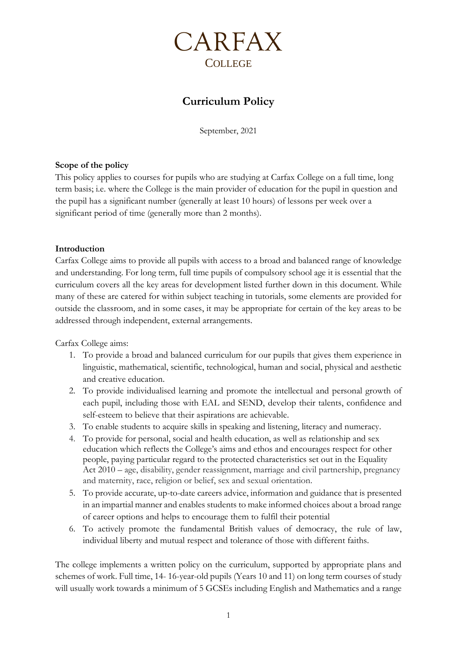

# **Curriculum Policy**

September, 2021

### **Scope of the policy**

This policy applies to courses for pupils who are studying at Carfax College on a full time, long term basis; i.e. where the College is the main provider of education for the pupil in question and the pupil has a significant number (generally at least 10 hours) of lessons per week over a significant period of time (generally more than 2 months).

### **Introduction**

Carfax College aims to provide all pupils with access to a broad and balanced range of knowledge and understanding. For long term, full time pupils of compulsory school age it is essential that the curriculum covers all the key areas for development listed further down in this document. While many of these are catered for within subject teaching in tutorials, some elements are provided for outside the classroom, and in some cases, it may be appropriate for certain of the key areas to be addressed through independent, external arrangements.

Carfax College aims:

- 1. To provide a broad and balanced curriculum for our pupils that gives them experience in linguistic, mathematical, scientific, technological, human and social, physical and aesthetic and creative education.
- 2. To provide individualised learning and promote the intellectual and personal growth of each pupil, including those with EAL and SEND, develop their talents, confidence and self-esteem to believe that their aspirations are achievable.
- 3. To enable students to acquire skills in speaking and listening, literacy and numeracy.
- 4. To provide for personal, social and health education, as well as relationship and sex education which reflects the College's aims and ethos and encourages respect for other people, paying particular regard to the protected characteristics set out in the Equality Act 2010 – age, disability, gender reassignment, marriage and civil partnership, pregnancy and maternity, race, religion or belief, sex and sexual orientation.
- 5. To provide accurate, up-to-date careers advice, information and guidance that is presented in an impartial manner and enables students to make informed choices about a broad range of career options and helps to encourage them to fulfil their potential
- 6. To actively promote the fundamental British values of democracy, the rule of law, individual liberty and mutual respect and tolerance of those with different faiths.

The college implements a written policy on the curriculum, supported by appropriate plans and schemes of work. Full time, 14- 16-year-old pupils (Years 10 and 11) on long term courses of study will usually work towards a minimum of 5 GCSEs including English and Mathematics and a range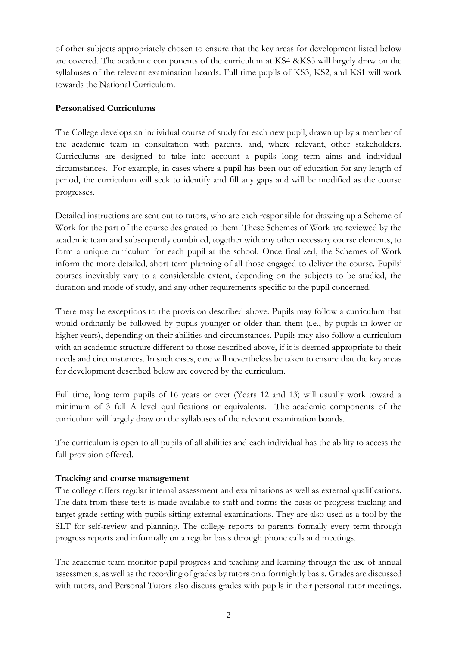of other subjects appropriately chosen to ensure that the key areas for development listed below are covered. The academic components of the curriculum at KS4 &KS5 will largely draw on the syllabuses of the relevant examination boards. Full time pupils of KS3, KS2, and KS1 will work towards the National Curriculum.

### **Personalised Curriculums**

The College develops an individual course of study for each new pupil, drawn up by a member of the academic team in consultation with parents, and, where relevant, other stakeholders. Curriculums are designed to take into account a pupils long term aims and individual circumstances. For example, in cases where a pupil has been out of education for any length of period, the curriculum will seek to identify and fill any gaps and will be modified as the course progresses.

Detailed instructions are sent out to tutors, who are each responsible for drawing up a Scheme of Work for the part of the course designated to them. These Schemes of Work are reviewed by the academic team and subsequently combined, together with any other necessary course elements, to form a unique curriculum for each pupil at the school. Once finalized, the Schemes of Work inform the more detailed, short term planning of all those engaged to deliver the course. Pupils' courses inevitably vary to a considerable extent, depending on the subjects to be studied, the duration and mode of study, and any other requirements specific to the pupil concerned.

There may be exceptions to the provision described above. Pupils may follow a curriculum that would ordinarily be followed by pupils younger or older than them (i.e., by pupils in lower or higher years), depending on their abilities and circumstances. Pupils may also follow a curriculum with an academic structure different to those described above, if it is deemed appropriate to their needs and circumstances. In such cases, care will nevertheless be taken to ensure that the key areas for development described below are covered by the curriculum.

Full time, long term pupils of 16 years or over (Years 12 and 13) will usually work toward a minimum of 3 full A level qualifications or equivalents. The academic components of the curriculum will largely draw on the syllabuses of the relevant examination boards.

The curriculum is open to all pupils of all abilities and each individual has the ability to access the full provision offered.

### **Tracking and course management**

The college offers regular internal assessment and examinations as well as external qualifications. The data from these tests is made available to staff and forms the basis of progress tracking and target grade setting with pupils sitting external examinations. They are also used as a tool by the SLT for self-review and planning. The college reports to parents formally every term through progress reports and informally on a regular basis through phone calls and meetings.

The academic team monitor pupil progress and teaching and learning through the use of annual assessments, as well as the recording of grades by tutors on a fortnightly basis. Grades are discussed with tutors, and Personal Tutors also discuss grades with pupils in their personal tutor meetings.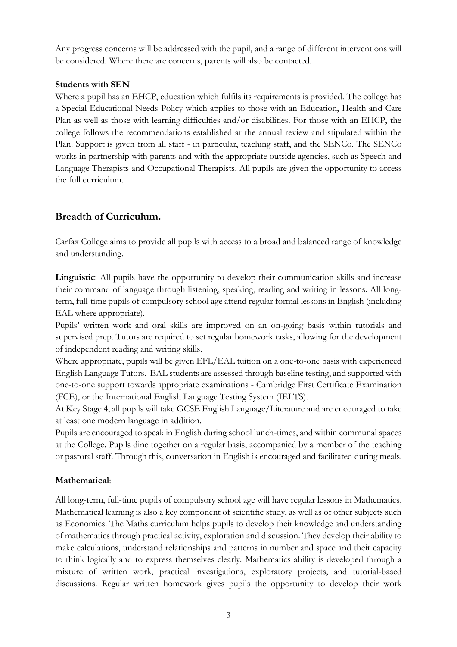Any progress concerns will be addressed with the pupil, and a range of different interventions will be considered. Where there are concerns, parents will also be contacted.

### **Students with SEN**

Where a pupil has an EHCP, education which fulfils its requirements is provided. The college has a Special Educational Needs Policy which applies to those with an Education, Health and Care Plan as well as those with learning difficulties and/or disabilities. For those with an EHCP, the college follows the recommendations established at the annual review and stipulated within the Plan. Support is given from all staff - in particular, teaching staff, and the SENCo. The SENCo works in partnership with parents and with the appropriate outside agencies, such as Speech and Language Therapists and Occupational Therapists. All pupils are given the opportunity to access the full curriculum.

## **Breadth of Curriculum.**

Carfax College aims to provide all pupils with access to a broad and balanced range of knowledge and understanding.

**Linguistic**: All pupils have the opportunity to develop their communication skills and increase their command of language through listening, speaking, reading and writing in lessons. All longterm, full-time pupils of compulsory school age attend regular formal lessons in English (including EAL where appropriate).

Pupils' written work and oral skills are improved on an on-going basis within tutorials and supervised prep. Tutors are required to set regular homework tasks, allowing for the development of independent reading and writing skills.

Where appropriate, pupils will be given EFL/EAL tuition on a one-to-one basis with experienced English Language Tutors. EAL students are assessed through baseline testing, and supported with one-to-one support towards appropriate examinations - Cambridge First Certificate Examination (FCE), or the International English Language Testing System (IELTS).

At Key Stage 4, all pupils will take GCSE English Language/Literature and are encouraged to take at least one modern language in addition.

Pupils are encouraged to speak in English during school lunch-times, and within communal spaces at the College. Pupils dine together on a regular basis, accompanied by a member of the teaching or pastoral staff. Through this, conversation in English is encouraged and facilitated during meals.

### **Mathematical**:

All long-term, full-time pupils of compulsory school age will have regular lessons in Mathematics. Mathematical learning is also a key component of scientific study, as well as of other subjects such as Economics. The Maths curriculum helps pupils to develop their knowledge and understanding of mathematics through practical activity, exploration and discussion. They develop their ability to make calculations, understand relationships and patterns in number and space and their capacity to think logically and to express themselves clearly. Mathematics ability is developed through a mixture of written work, practical investigations, exploratory projects, and tutorial-based discussions. Regular written homework gives pupils the opportunity to develop their work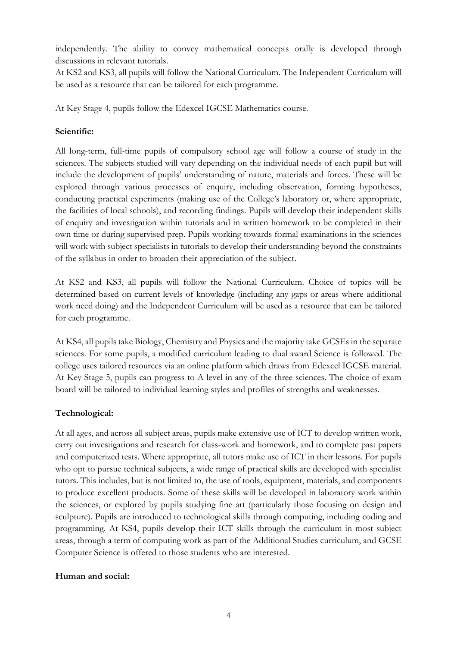independently. The ability to convey mathematical concepts orally is developed through discussions in relevant tutorials.

At KS2 and KS3, all pupils will follow the National Curriculum. The Independent Curriculum will be used as a resource that can be tailored for each programme.

At Key Stage 4, pupils follow the Edexcel IGCSE Mathematics course.

### **Scientific:**

All long-term, full-time pupils of compulsory school age will follow a course of study in the sciences. The subjects studied will vary depending on the individual needs of each pupil but will include the development of pupils' understanding of nature, materials and forces. These will be explored through various processes of enquiry, including observation, forming hypotheses, conducting practical experiments (making use of the College's laboratory or, where appropriate, the facilities of local schools), and recording findings. Pupils will develop their independent skills of enquiry and investigation within tutorials and in written homework to be completed in their own time or during supervised prep. Pupils working towards formal examinations in the sciences will work with subject specialists in tutorials to develop their understanding beyond the constraints of the syllabus in order to broaden their appreciation of the subject.

At KS2 and KS3, all pupils will follow the National Curriculum. Choice of topics will be determined based on current levels of knowledge (including any gaps or areas where additional work need doing) and the Independent Curriculum will be used as a resource that can be tailored for each programme.

At KS4, all pupils take Biology, Chemistry and Physics and the majority take GCSEs in the separate sciences. For some pupils, a modified curriculum leading to dual award Science is followed. The college uses tailored resources via an online platform which draws from Edexcel IGCSE material. At Key Stage 5, pupils can progress to A level in any of the three sciences. The choice of exam board will be tailored to individual learning styles and profiles of strengths and weaknesses.

### **Technological:**

At all ages, and across all subject areas, pupils make extensive use of ICT to develop written work, carry out investigations and research for class-work and homework, and to complete past papers and computerized tests. Where appropriate, all tutors make use of ICT in their lessons. For pupils who opt to pursue technical subjects, a wide range of practical skills are developed with specialist tutors. This includes, but is not limited to, the use of tools, equipment, materials, and components to produce excellent products. Some of these skills will be developed in laboratory work within the sciences, or explored by pupils studying fine art (particularly those focusing on design and sculpture). Pupils are introduced to technological skills through computing, including coding and programming. At KS4, pupils develop their ICT skills through the curriculum in most subject areas, through a term of computing work as part of the Additional Studies curriculum, and GCSE Computer Science is offered to those students who are interested.

### **Human and social:**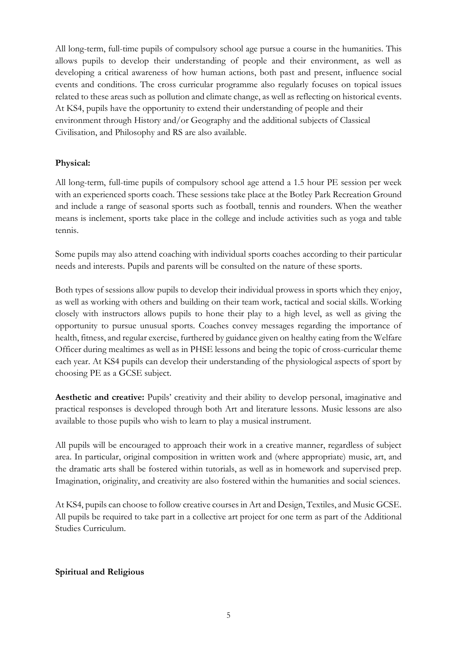All long-term, full-time pupils of compulsory school age pursue a course in the humanities. This allows pupils to develop their understanding of people and their environment, as well as developing a critical awareness of how human actions, both past and present, influence social events and conditions. The cross curricular programme also regularly focuses on topical issues related to these areas such as pollution and climate change, as well as reflecting on historical events. At KS4, pupils have the opportunity to extend their understanding of people and their environment through History and/or Geography and the additional subjects of Classical Civilisation, and Philosophy and RS are also available.

### **Physical:**

All long-term, full-time pupils of compulsory school age attend a 1.5 hour PE session per week with an experienced sports coach. These sessions take place at the Botley Park Recreation Ground and include a range of seasonal sports such as football, tennis and rounders. When the weather means is inclement, sports take place in the college and include activities such as yoga and table tennis.

Some pupils may also attend coaching with individual sports coaches according to their particular needs and interests. Pupils and parents will be consulted on the nature of these sports.

Both types of sessions allow pupils to develop their individual prowess in sports which they enjoy, as well as working with others and building on their team work, tactical and social skills. Working closely with instructors allows pupils to hone their play to a high level, as well as giving the opportunity to pursue unusual sports. Coaches convey messages regarding the importance of health, fitness, and regular exercise, furthered by guidance given on healthy eating from the Welfare Officer during mealtimes as well as in PHSE lessons and being the topic of cross-curricular theme each year. At KS4 pupils can develop their understanding of the physiological aspects of sport by choosing PE as a GCSE subject.

**Aesthetic and creative:** Pupils' creativity and their ability to develop personal, imaginative and practical responses is developed through both Art and literature lessons. Music lessons are also available to those pupils who wish to learn to play a musical instrument.

All pupils will be encouraged to approach their work in a creative manner, regardless of subject area. In particular, original composition in written work and (where appropriate) music, art, and the dramatic arts shall be fostered within tutorials, as well as in homework and supervised prep. Imagination, originality, and creativity are also fostered within the humanities and social sciences.

At KS4, pupils can choose to follow creative courses in Art and Design, Textiles, and Music GCSE. All pupils be required to take part in a collective art project for one term as part of the Additional Studies Curriculum.

### **Spiritual and Religious**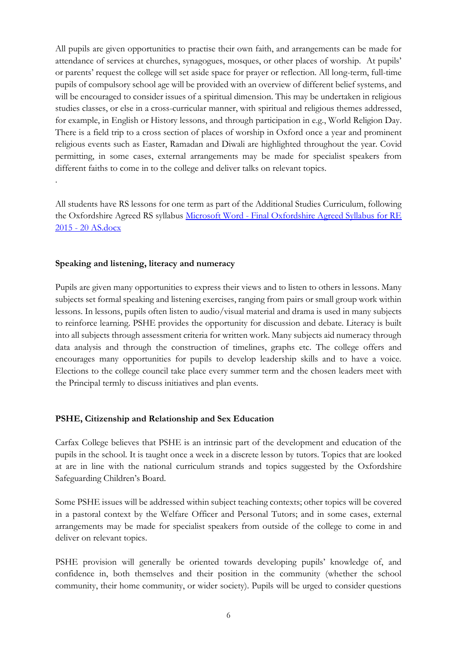All pupils are given opportunities to practise their own faith, and arrangements can be made for attendance of services at churches, synagogues, mosques, or other places of worship. At pupils' or parents' request the college will set aside space for prayer or reflection. All long-term, full-time pupils of compulsory school age will be provided with an overview of different belief systems, and will be encouraged to consider issues of a spiritual dimension. This may be undertaken in religious studies classes, or else in a cross-curricular manner, with spiritual and religious themes addressed, for example, in English or History lessons, and through participation in e.g., World Religion Day. There is a field trip to a cross section of places of worship in Oxford once a year and prominent religious events such as Easter, Ramadan and Diwali are highlighted throughout the year. Covid permitting, in some cases, external arrangements may be made for specialist speakers from different faiths to come in to the college and deliver talks on relevant topics.

All students have RS lessons for one term as part of the Additional Studies Curriculum, following the Oxfordshire Agreed RS syllabus Microsoft Word - [Final Oxfordshire Agreed Syllabus for RE](https://www.oxfordshire.gov.uk/sites/default/files/file/our-work-schools/TheAgreedSyllabus2015-2020.pdf)  2015 - [20 AS.docx](https://www.oxfordshire.gov.uk/sites/default/files/file/our-work-schools/TheAgreedSyllabus2015-2020.pdf)

### **Speaking and listening, literacy and numeracy**

.

Pupils are given many opportunities to express their views and to listen to others in lessons. Many subjects set formal speaking and listening exercises, ranging from pairs or small group work within lessons. In lessons, pupils often listen to audio/visual material and drama is used in many subjects to reinforce learning. PSHE provides the opportunity for discussion and debate. Literacy is built into all subjects through assessment criteria for written work. Many subjects aid numeracy through data analysis and through the construction of timelines, graphs etc. The college offers and encourages many opportunities for pupils to develop leadership skills and to have a voice. Elections to the college council take place every summer term and the chosen leaders meet with the Principal termly to discuss initiatives and plan events.

### **PSHE, Citizenship and Relationship and Sex Education**

Carfax College believes that PSHE is an intrinsic part of the development and education of the pupils in the school. It is taught once a week in a discrete lesson by tutors. Topics that are looked at are in line with the national curriculum strands and topics suggested by the Oxfordshire Safeguarding Children's Board.

Some PSHE issues will be addressed within subject teaching contexts; other topics will be covered in a pastoral context by the Welfare Officer and Personal Tutors; and in some cases, external arrangements may be made for specialist speakers from outside of the college to come in and deliver on relevant topics.

PSHE provision will generally be oriented towards developing pupils' knowledge of, and confidence in, both themselves and their position in the community (whether the school community, their home community, or wider society). Pupils will be urged to consider questions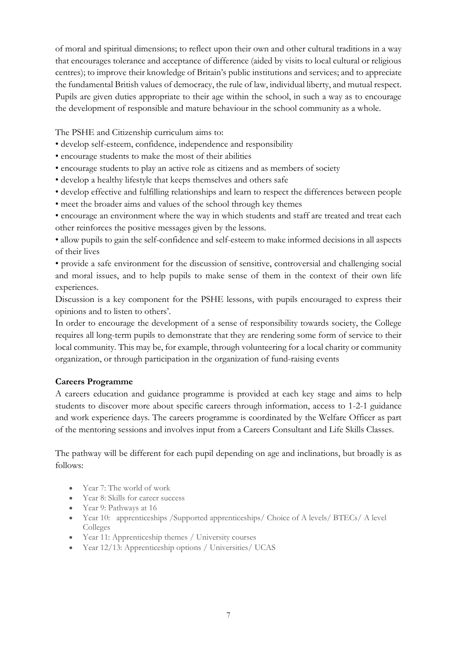of moral and spiritual dimensions; to reflect upon their own and other cultural traditions in a way that encourages tolerance and acceptance of difference (aided by visits to local cultural or religious centres); to improve their knowledge of Britain's public institutions and services; and to appreciate the fundamental British values of democracy, the rule of law, individual liberty, and mutual respect. Pupils are given duties appropriate to their age within the school, in such a way as to encourage the development of responsible and mature behaviour in the school community as a whole.

The PSHE and Citizenship curriculum aims to:

- develop self-esteem, confidence, independence and responsibility
- encourage students to make the most of their abilities
- encourage students to play an active role as citizens and as members of society
- develop a healthy lifestyle that keeps themselves and others safe
- develop effective and fulfilling relationships and learn to respect the differences between people
- meet the broader aims and values of the school through key themes
- encourage an environment where the way in which students and staff are treated and treat each other reinforces the positive messages given by the lessons.

• allow pupils to gain the self-confidence and self-esteem to make informed decisions in all aspects of their lives

• provide a safe environment for the discussion of sensitive, controversial and challenging social and moral issues, and to help pupils to make sense of them in the context of their own life experiences.

Discussion is a key component for the PSHE lessons, with pupils encouraged to express their opinions and to listen to others'.

In order to encourage the development of a sense of responsibility towards society, the College requires all long-term pupils to demonstrate that they are rendering some form of service to their local community. This may be, for example, through volunteering for a local charity or community organization, or through participation in the organization of fund-raising events

#### **Careers Programme**

A careers education and guidance programme is provided at each key stage and aims to help students to discover more about specific careers through information, access to 1-2-1 guidance and work experience days. The careers programme is coordinated by the Welfare Officer as part of the mentoring sessions and involves input from a Careers Consultant and Life Skills Classes.

The pathway will be different for each pupil depending on age and inclinations, but broadly is as follows:

- Year 7: The world of work
- Year 8: Skills for career success
- Year 9: Pathways at 16
- Year 10: apprenticeships /Supported apprenticeships/ Choice of A levels/ BTECs/ A level Colleges
- Year 11: Apprenticeship themes / University courses
- Year 12/13: Apprenticeship options / Universities / UCAS